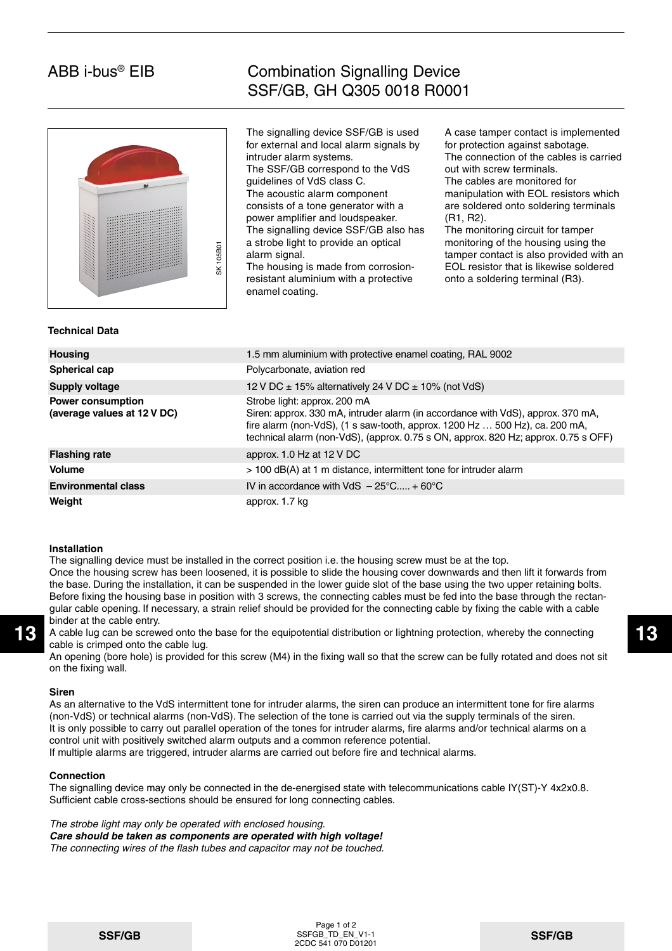# ABB i-bus® EIB

## Combination Signalling Device SSF/GB, GH Q305 0018 R0001



The signalling device SSF/GB is used for external and local alarm signals by intruder alarm systems. The SSF/GB correspond to the VdS guidelines of VdS class C. The acoustic alarm component consists of a tone generator with a power amplifier and loudspeaker. The signalling device SSF/GB also has a strobe light to provide an optical alarm signal.

A case tamper contact is implemented for protection against sabotage. The connection of the cables is carried out with screw terminals. The cables are monitored for

manipulation with EOL resistors which are soldered onto soldering terminals (R1, R2).

The monitoring circuit for tamper monitoring of the housing using the tamper contact is also provided with an EOL resistor that is likewise soldered onto a soldering terminal (R3).

## **Technical Data**

| <b>SK 105B01</b>                                        | a strope light to provide an optical<br>THOMIC THIS OF THE HOUSING USING THE<br>tamper contact is also provided with ar<br>alarm signal.<br>EOL resistor that is likewise soldered<br>The housing is made from corrosion-<br>resistant aluminium with a protective<br>onto a soldering terminal (R3).<br>enamel coating.    |  |  |  |  |  |  |  |
|---------------------------------------------------------|-----------------------------------------------------------------------------------------------------------------------------------------------------------------------------------------------------------------------------------------------------------------------------------------------------------------------------|--|--|--|--|--|--|--|
| <b>Technical Data</b>                                   |                                                                                                                                                                                                                                                                                                                             |  |  |  |  |  |  |  |
| <b>Housing</b>                                          | 1.5 mm aluminium with protective enamel coating, RAL 9002                                                                                                                                                                                                                                                                   |  |  |  |  |  |  |  |
| <b>Spherical cap</b>                                    | Polycarbonate, aviation red                                                                                                                                                                                                                                                                                                 |  |  |  |  |  |  |  |
| <b>Supply voltage</b>                                   | 12 V DC $\pm$ 15% alternatively 24 V DC $\pm$ 10% (not VdS)                                                                                                                                                                                                                                                                 |  |  |  |  |  |  |  |
| <b>Power consumption</b><br>(average values at 12 V DC) | Strobe light: approx. 200 mA<br>Siren: approx. 330 mA, intruder alarm (in accordance with VdS), approx. 370 mA,<br>fire alarm (non-VdS), $(1 \text{ s saw-tooth}, \text{approx}. 1200 \text{ Hz} \dots 500 \text{ Hz})$ , ca. 200 mA,<br>technical alarm (non-VdS), (approx. 0.75 s ON, approx. 820 Hz; approx. 0.75 s OFF) |  |  |  |  |  |  |  |
| <b>Flashing rate</b>                                    | approx. 1.0 Hz at $12 \text{ V}$ DC                                                                                                                                                                                                                                                                                         |  |  |  |  |  |  |  |
| <b>Volume</b>                                           | > 100 dB(A) at 1 m distance, intermittent tone for intruder alarm                                                                                                                                                                                                                                                           |  |  |  |  |  |  |  |
| <b>Environmental class</b>                              | IV in accordance with VdS $-25^{\circ}$ C + 60°C                                                                                                                                                                                                                                                                            |  |  |  |  |  |  |  |
| Weight                                                  | approx. 1.7 kg                                                                                                                                                                                                                                                                                                              |  |  |  |  |  |  |  |

#### **Installation**

The signalling device must be installed in the correct position i.e. the housing screw must be at the top. Once the housing screw has been loosened, it is possible to slide the housing cover downwards and then lift it forwards from the base. During the installation, it can be suspended in the lower guide slot of the base using the two upper retaining bolts. Before fixing the housing base in position with 3 screws, the connecting cables must be fed into the base through the rectangular cable opening. If necessary, a strain relief should be provided for the connecting cable by fixing the cable with a cable binder at the cable entry.

13 A cable lug can be screwed onto the base for the equipotential distribution or lightning protection, whereby the connecting 13 cable is crimped onto the cable lug.

An opening (bore hole) is provided for this screw (M4) in the fixing wall so that the screw can be fully rotated and does not sit on the fixing wall.

#### **Siren**

As an alternative to the VdS intermittent tone for intruder alarms, the siren can produce an intermittent tone for fire alarms (non-VdS) or technical alarms (non-VdS). The selection of the tone is carried out via the supply terminals of the siren. It is only possible to carry out parallel operation of the tones for intruder alarms, fire alarms and/or technical alarms on a control unit with positively switched alarm outputs and a common reference potential.

If multiple alarms are triggered, intruder alarms are carried out before fire and technical alarms.

#### **Connection**

The signalling device may only be connected in the de-energised state with telecommunications cable IY(ST)-Y 4x2x0.8. Sufficient cable cross-sections should be ensured for long connecting cables.

The strobe light may only be operated with enclosed housing.

**Care should be taken as components are operated with high voltage!** The connecting wires of the flash tubes and capacitor may not be touched.